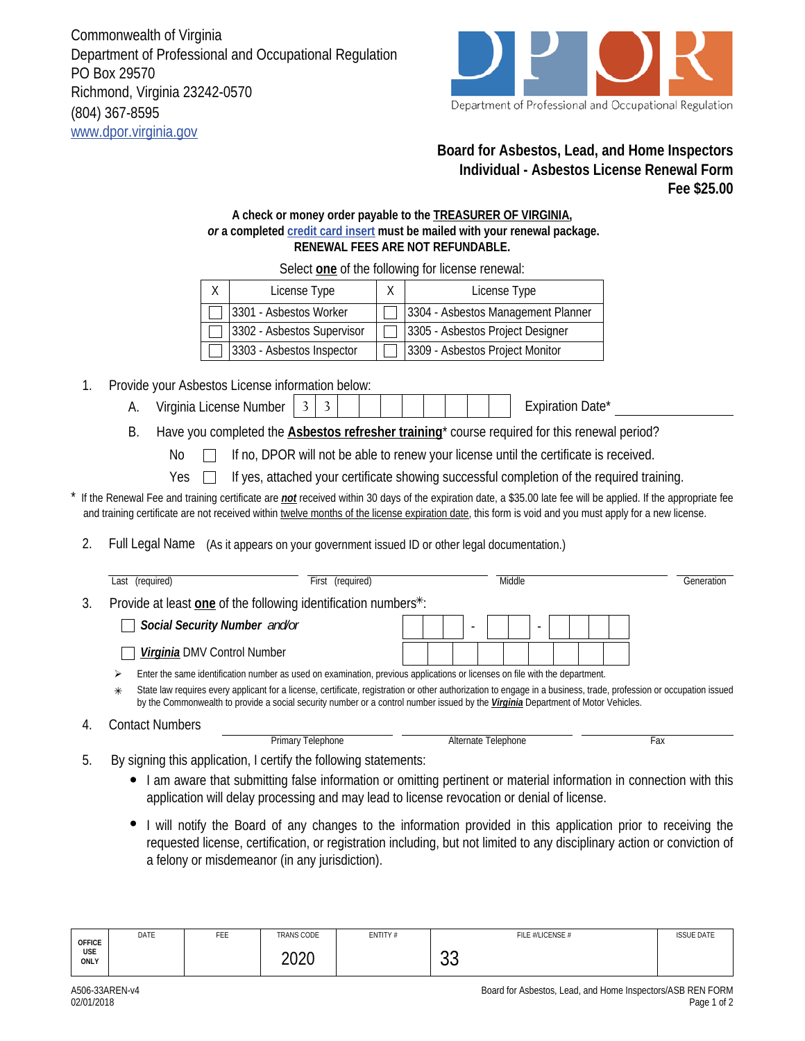Commonwealth of Virginia Department of Professional and Occupational Regulation PO Box 29570 Richmond, Virginia 23242-0570 (804) 367-8595 www.dpor.virginia.gov



## **Board for Asbestos, Lead, and Home Inspectors Individual - Asbestos License Renewal Form Fee \$25.00**

## **A check or money order payable to the TREASURER OF VIRGINIA,**  *or* **a completed credit card insert must be mailed with your renewal package. RENEWAL FEES ARE NOT REFUNDABLE.**

X License Type  $\vert$  X  $\vert$  License Type 3301 - Asbestos Worker  $\Box$  3304 - Asbestos Management Planner 3302 - Asbestos Supervisor | 3305 - Asbestos Project Designer 3303 - Asbestos Inspector | □ 3309 - Asbestos Project Monitor

1. Provide your Asbestos License information below:

- A. Virginia License Number 3 3 | | | | | | | | | Expiration Date<sup>\*</sup>
- B. Have you completed the **Asbestos refresher training**\* course required for this renewal period?

No If no, DPOR will not be able to renew your license until the certificate is received.

Yes  $\Box$ If yes, attached your certificate showing successful completion of the required training.

If the Renewal Fee and training certificate are *not* received within 30 days of the expiration date, a \$35.00 late fee will be applied. If the appropriate fee and training certificate are not received within twelve months of the license expiration date, this form is void and you must apply for a new license.

2. Full Legal Name (As it appears on your government issued ID or other legal documentation.)

|                                                                                                                                                                                                                                                                                                                                                                                                                                                      | Last (required)               | First (required)                                                                                                                                                                                                                                                                       |                          | Middle                   | Generation |  |  |  |
|------------------------------------------------------------------------------------------------------------------------------------------------------------------------------------------------------------------------------------------------------------------------------------------------------------------------------------------------------------------------------------------------------------------------------------------------------|-------------------------------|----------------------------------------------------------------------------------------------------------------------------------------------------------------------------------------------------------------------------------------------------------------------------------------|--------------------------|--------------------------|------------|--|--|--|
| 3.                                                                                                                                                                                                                                                                                                                                                                                                                                                   |                               | Provide at least one of the following identification numbers*:                                                                                                                                                                                                                         |                          |                          |            |  |  |  |
|                                                                                                                                                                                                                                                                                                                                                                                                                                                      | Social Security Number and/or |                                                                                                                                                                                                                                                                                        | $\overline{\phantom{a}}$ | $\overline{\phantom{0}}$ |            |  |  |  |
|                                                                                                                                                                                                                                                                                                                                                                                                                                                      | Virginia DMV Control Number   |                                                                                                                                                                                                                                                                                        |                          |                          |            |  |  |  |
| Enter the same identification number as used on examination, previous applications or licenses on file with the department.<br>⋗<br>State law requires every applicant for a license, certificate, registration or other authorization to engage in a business, trade, profession or occupation issued<br>$\ast$<br>by the Commonwealth to provide a social security number or a control number issued by the Virginia Department of Motor Vehicles. |                               |                                                                                                                                                                                                                                                                                        |                          |                          |            |  |  |  |
| 4.                                                                                                                                                                                                                                                                                                                                                                                                                                                   | <b>Contact Numbers</b>        | Primary Telephone                                                                                                                                                                                                                                                                      |                          | Alternate Telephone      | Fax        |  |  |  |
| 5.                                                                                                                                                                                                                                                                                                                                                                                                                                                   |                               | By signing this application, I certify the following statements:<br>• I am aware that submitting false information or omitting pertinent or material information in connection with this<br>application will delay processing and may lead to license revocation or denial of license. |                          |                          |            |  |  |  |

I will notify the Board of any changes to the information provided in this application prior to receiving the requested license, certification, or registration including, but not limited to any disciplinary action or conviction of a felony or misdemeanor (in any jurisdiction).

| <b>OFFICE</b><br>USE<br>ONLY | DATE | FEE | TRANS CODE   | ENTITY# | FILE #/LICENSE # | <b>ISSUE DATE</b> |
|------------------------------|------|-----|--------------|---------|------------------|-------------------|
|                              |      |     | ንስንስ<br>ZUZU |         | $\sim$<br>◡◡     |                   |

4.

Select **one** of the following for license renewal: